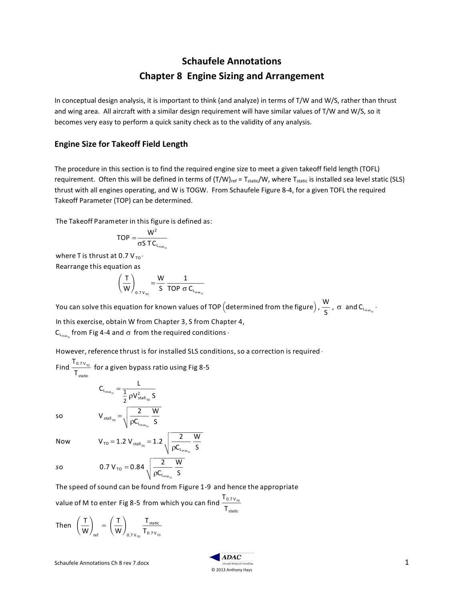# **Schaufele Annotations Chapter 8 Engine Sizing and Arrangement**

In conceptual design analysis, it is important to think (and analyze) in terms of T/W and W/S, rather than thrust and wing area. All aircraft with a similar design requirement will have similar values of T/W and W/S, so it becomes very easy to perform a quick sanity check as to the validity of any analysis.

#### **Engine Size for Takeoff Field Length**

The procedure in this section is to find the required engine size to meet a given takeoff field length (TOFL) requirement. Often this will be defined in terms of  $(T/W)_{ref} = T_{static}/W$ , where  $T_{static}$  is installed sea level static (SLS) thrust with all engines operating, and W is TOGW. From Schaufele Figure 8-4, for a given TOFL the required Takeoff Parameter (TOP) can be determined.

The Takeoff Parameter in this figure is defined as:

$$
TOP = \frac{W^2}{\sigma S \, T C_{L_{max_{\tau}}} }
$$

where T is thrust at 0.7  $V_{TO}$ . Rearrange this equation as

$$
\left(\frac{T}{W}\right)_{0.7\,V_{\tau_0}} = \frac{W}{S}\,\frac{1}{\text{TOP}\,\,\sigma\,C_{L_{\text{max}_\tau}}}
$$

You can solve this equation for known values of TOP (determined from the figure),  $\frac{W}{c}$ S  $\frac{\mathsf{W}}{\mathsf{S}}$  ,  $\sigma$  and C<sub>Lmax<sub>ro</sub> .</sub>

In this exercise, obtain W from Chapter 3, S from Chapter 4,  $\mathsf{C}_{\mathsf{L}_{\mathsf{max}_{\mathsf{m}}}}$  from Fig 4-4 and  $\sigma$  from the required conditions  $\cdot$ 

However, reference thrust is for installed SLS conditions, so a correction is required  $\cdot$ 

Find  $\frac{T_{0.7 V_{\tau o}}}{T}$  $\mathsf{T}_{\text{static}}$  $\frac{\Gamma_{0.7 V_{\tau\text{o}}}}{\Gamma}$  for a given bypass ratio using Fig 8-5  $C_{L_{\max_{\tau}}} = \frac{L}{1 - \frac{1}{2}L^2}$ 

so

\n
$$
V_{\text{stall}_{\tau_{0}}} = \sqrt{\frac{2}{\rho C_{L_{\text{max}_{\tau_{0}}}}}} \frac{W}{S}
$$
\nNow

\n
$$
V_{\tau_{0}} = 1.2 V_{\text{stall}_{\tau_{0}}} = 1.2 \sqrt{\frac{2}{\rho C_{L_{\text{max}_{\tau_{0}}}}}} \frac{W}{S}
$$
\nso

\n
$$
0.7 V_{\tau_{0}} = 0.84 \sqrt{\frac{2}{\rho C_{L_{\text{max}_{\tau_{0}}}}}} \frac{W}{S}
$$

 $\frac{1}{2}$   $\rho V_{\text{stall}_{\text{TO}}}^2$  S fff $\Gamma$ 

2

 $\begin{array}{c|c} 2 & 0.7 \, \text{V}_{\text{TO}} = 0.84 \, \text{V}_{\text{CO}} \end{array}$  $\rho C_{L_{\max_{\tau_{\text{co}}}}}$ 

S The speed of sound can be found from Figure 1-9 and hence the appropriate

value of M to enter Fig 8-5 from which you can find  $\frac{\sf T_{0.7 v_{\tau o}}}{\bm{\tau}}$  ${\mathsf T}_{\textsf{static}}$  $\Gamma_{0.7 \text{ V}_{\tau_0}}$ 

Then 
$$
\left(\frac{T}{W}\right)_{ref} = \left(\frac{T}{W}\right)_{0.7 V_{TO}} \frac{T_{static}}{T_{0.7 V_{TO}}}
$$

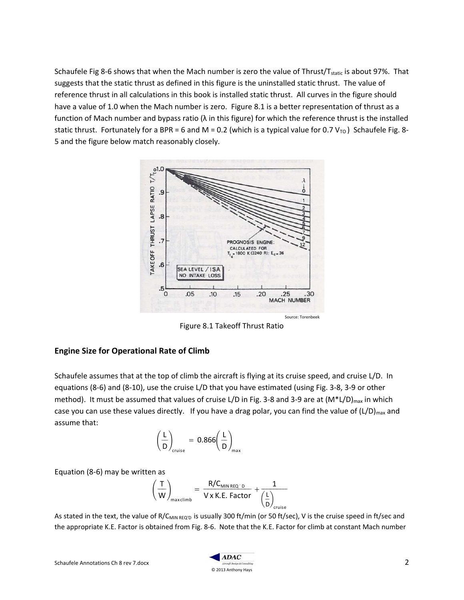Schaufele Fig 8-6 shows that when the Mach number is zero the value of Thrust/T<sub>static</sub> is about 97%. That suggests that the static thrust as defined in this figure is the uninstalled static thrust. The value of reference thrust in all calculations in this book is installed static thrust. All curves in the figure should have a value of 1.0 when the Mach number is zero. Figure 8.1 is a better representation of thrust as a function of Mach number and bypass ratio ( $\lambda$  in this figure) for which the reference thrust is the installed static thrust. Fortunately for a BPR = 6 and M = 0.2 (which is a typical value for 0.7  $V_{TO}$ ) Schaufele Fig. 8-5 and the figure below match reasonably closely.



Figure 8.1 Takeoff Thrust Ratio

## **Engine Size for Operational Rate of Climb**

Schaufele assumes that at the top of climb the aircraft is flying at its cruise speed, and cruise L/D. In equations (8-6) and (8-10), use the cruise L/D that you have estimated (using Fig. 3-8, 3-9 or other method). It must be assumed that values of cruise L/D in Fig. 3-8 and 3-9 are at  $(M^*L/D)_{max}$  in which case you can use these values directly. If you have a drag polar, you can find the value of (L/D)<sub>max</sub> and assume that:

$$
\left(\frac{L}{D}\right)_{\text{cruise}} = 0.866 \left(\frac{L}{D}\right)_{\text{max}}
$$

Equation (8-6) may be written as

$$
\left(\frac{T}{W}\right)_{\text{maxclimb}} = \frac{R/C_{\text{MIN REG/D}}}{V \times K.E. Factor} + \frac{1}{\left(\frac{L}{D}\right)_{\text{cruise}}}
$$

As stated in the text, the value of R/C<sub>MIN REQ'D</sub> is usually 300 ft/min (or 50 ft/sec), V is the cruise speed in ft/sec and the appropriate K.E. Factor is obtained from Fig. 8-6. Note that the K.E. Factor for climb at constant Mach number

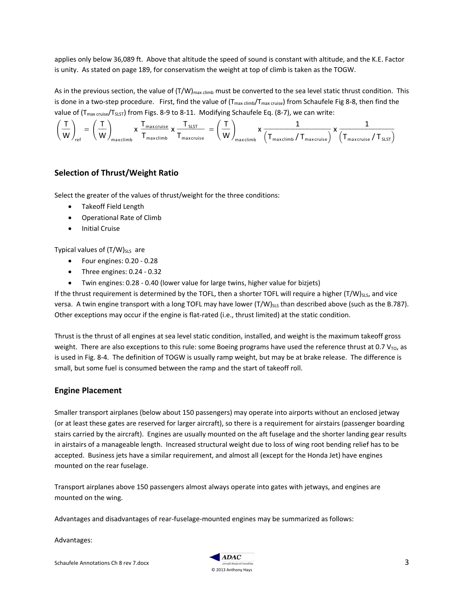applies only below 36,089 ft. Above that altitude the speed of sound is constant with altitude, and the K.E. Factor is unity. As stated on page 189, for conservatism the weight at top of climb is taken as the TOGW.

As in the previous section, the value of  $(T/W)_{\text{max clim}}$  must be converted to the sea level static thrust condition. This is done in a two-step procedure. First, find the value of  $(T_{max~climb}/T_{max~cruis})$  from Schaufele Fig 8-8, then find the value of  $(T_{max\,criise}/T_{SLST})$  from Figs. 8-9 to 8-11. Modifying Schaufele Eq. (8-7), we can write:

$$
\left(\frac{T}{W}\right)_{\textrm{ref}} = \left(\frac{T}{W}\right)_{\textrm{maxclimb}} \times \frac{T_{\textrm{maxclimb}}}{T_{\textrm{maxclimb}}} \times \frac{T_{\textrm{SLST}}}{T_{\textrm{maxclimb}}} = \left(\frac{T}{W}\right)_{\textrm{maxclimb}} \times \frac{1}{\left(T_{\textrm{maxclimb}}/T_{\textrm{maxcruise}}\right)} \times \frac{1}{\left(T_{\textrm{maxcruise}}/T_{\textrm{SLST}}\right)}
$$

## **Selection of Thrust/Weight Ratio**

Select the greater of the values of thrust/weight for the three conditions:

- Takeoff Field Length
- Operational Rate of Climb
- **•** Initial Cruise

Typical values of  $(T/W)_{SLS}$  are

- Four engines: 0.20 0.28
- Three engines: 0.24 0.32
- Twin engines: 0.28 0.40 (lower value for large twins, higher value for bizjets)

If the thrust requirement is determined by the TOFL, then a shorter TOFL will require a higher  $(T/W)_{SLS}$ , and vice versa. A twin engine transport with a long TOFL may have lower  $(T/W)_{SLS}$  than described above (such as the B.787). Other exceptions may occur if the engine is flat-rated (i.e., thrust limited) at the static condition.

Thrust is the thrust of all engines at sea level static condition, installed, and weight is the maximum takeoff gross weight. There are also exceptions to this rule: some Boeing programs have used the reference thrust at 0.7  $V_{\text{TO}}$ , as is used in Fig. 8-4. The definition of TOGW is usually ramp weight, but may be at brake release. The difference is small, but some fuel is consumed between the ramp and the start of takeoff roll.

### **Engine Placement**

Smaller transport airplanes (below about 150 passengers) may operate into airports without an enclosed jetway (or at least these gates are reserved for larger aircraft), so there is a requirement for airstairs (passenger boarding stairs carried by the aircraft). Engines are usually mounted on the aft fuselage and the shorter landing gear results in airstairs of a manageable length. Increased structural weight due to loss of wing root bending relief has to be accepted. Business jets have a similar requirement, and almost all (except for the Honda Jet) have engines mounted on the rear fuselage.

Transport airplanes above 150 passengers almost always operate into gates with jetways, and engines are mounted on the wing.

Advantages and disadvantages of rear-fuselage-mounted engines may be summarized as follows:

Advantages: